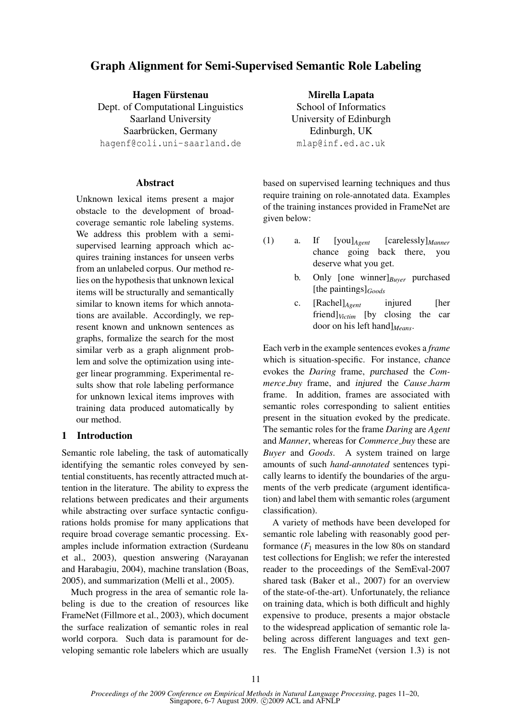# Graph Alignment for Semi-Supervised Semantic Role Labeling

Hagen Fürstenau Dept. of Computational Linguistics Saarland University Saarbrücken, Germany hagenf@coli.uni-saarland.de

### Abstract

Unknown lexical items present a major obstacle to the development of broadcoverage semantic role labeling systems. We address this problem with a semisupervised learning approach which acquires training instances for unseen verbs from an unlabeled corpus. Our method relies on the hypothesis that unknown lexical items will be structurally and semantically similar to known items for which annotations are available. Accordingly, we represent known and unknown sentences as graphs, formalize the search for the most similar verb as a graph alignment problem and solve the optimization using integer linear programming. Experimental results show that role labeling performance for unknown lexical items improves with training data produced automatically by our method.

# 1 Introduction

Semantic role labeling, the task of automatically identifying the semantic roles conveyed by sentential constituents, has recently attracted much attention in the literature. The ability to express the relations between predicates and their arguments while abstracting over surface syntactic configurations holds promise for many applications that require broad coverage semantic processing. Examples include information extraction (Surdeanu et al., 2003), question answering (Narayanan and Harabagiu, 2004), machine translation (Boas, 2005), and summarization (Melli et al., 2005).

Much progress in the area of semantic role labeling is due to the creation of resources like FrameNet (Fillmore et al., 2003), which document the surface realization of semantic roles in real world corpora. Such data is paramount for developing semantic role labelers which are usually

Mirella Lapata School of Informatics University of Edinburgh Edinburgh, UK mlap@inf.ed.ac.uk

based on supervised learning techniques and thus require training on role-annotated data. Examples of the training instances provided in FrameNet are given below:

- (1) a. If [you]*Agent* [carelessly]*Manner* chance going back there, you deserve what you get.
	- b. Only [one winner]*Buyer* purchased [the paintings]*Goods*
	- c. [Rachel]*Agent* injured [her friend]*Victim* [by closing the car door on his left hand]*Means*.

Each verb in the example sentences evokes a *frame* which is situation-specific. For instance, chance evokes the *Daring* frame, purchased the *Commerce buy* frame, and injured the *Cause harm* frame. In addition, frames are associated with semantic roles corresponding to salient entities present in the situation evoked by the predicate. The semantic roles for the frame *Daring* are *Agent* and *Manner*, whereas for *Commerce buy* these are *Buyer* and *Goods*. A system trained on large amounts of such *hand-annotated* sentences typically learns to identify the boundaries of the arguments of the verb predicate (argument identification) and label them with semantic roles (argument classification).

A variety of methods have been developed for semantic role labeling with reasonably good performance  $(F_1$  measures in the low 80s on standard test collections for English; we refer the interested reader to the proceedings of the SemEval-2007 shared task (Baker et al., 2007) for an overview of the state-of-the-art). Unfortunately, the reliance on training data, which is both difficult and highly expensive to produce, presents a major obstacle to the widespread application of semantic role labeling across different languages and text genres. The English FrameNet (version 1.3) is not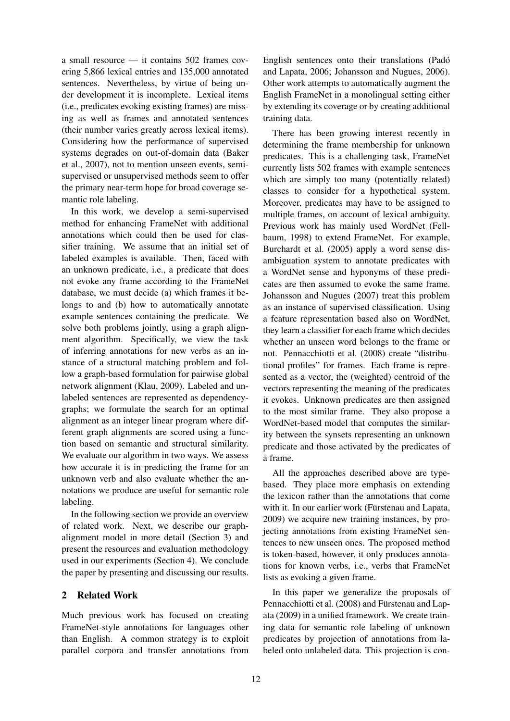a small resource — it contains 502 frames covering 5,866 lexical entries and 135,000 annotated sentences. Nevertheless, by virtue of being under development it is incomplete. Lexical items (i.e., predicates evoking existing frames) are missing as well as frames and annotated sentences (their number varies greatly across lexical items). Considering how the performance of supervised systems degrades on out-of-domain data (Baker et al., 2007), not to mention unseen events, semisupervised or unsupervised methods seem to offer the primary near-term hope for broad coverage semantic role labeling.

In this work, we develop a semi-supervised method for enhancing FrameNet with additional annotations which could then be used for classifier training. We assume that an initial set of labeled examples is available. Then, faced with an unknown predicate, i.e., a predicate that does not evoke any frame according to the FrameNet database, we must decide (a) which frames it belongs to and (b) how to automatically annotate example sentences containing the predicate. We solve both problems jointly, using a graph alignment algorithm. Specifically, we view the task of inferring annotations for new verbs as an instance of a structural matching problem and follow a graph-based formulation for pairwise global network alignment (Klau, 2009). Labeled and unlabeled sentences are represented as dependencygraphs; we formulate the search for an optimal alignment as an integer linear program where different graph alignments are scored using a function based on semantic and structural similarity. We evaluate our algorithm in two ways. We assess how accurate it is in predicting the frame for an unknown verb and also evaluate whether the annotations we produce are useful for semantic role labeling.

In the following section we provide an overview of related work. Next, we describe our graphalignment model in more detail (Section 3) and present the resources and evaluation methodology used in our experiments (Section 4). We conclude the paper by presenting and discussing our results.

# 2 Related Work

Much previous work has focused on creating FrameNet-style annotations for languages other than English. A common strategy is to exploit parallel corpora and transfer annotations from

English sentences onto their translations (Pado´ and Lapata, 2006; Johansson and Nugues, 2006). Other work attempts to automatically augment the English FrameNet in a monolingual setting either by extending its coverage or by creating additional training data.

There has been growing interest recently in determining the frame membership for unknown predicates. This is a challenging task, FrameNet currently lists 502 frames with example sentences which are simply too many (potentially related) classes to consider for a hypothetical system. Moreover, predicates may have to be assigned to multiple frames, on account of lexical ambiguity. Previous work has mainly used WordNet (Fellbaum, 1998) to extend FrameNet. For example, Burchardt et al. (2005) apply a word sense disambiguation system to annotate predicates with a WordNet sense and hyponyms of these predicates are then assumed to evoke the same frame. Johansson and Nugues (2007) treat this problem as an instance of supervised classification. Using a feature representation based also on WordNet, they learn a classifier for each frame which decides whether an unseen word belongs to the frame or not. Pennacchiotti et al. (2008) create "distributional profiles" for frames. Each frame is represented as a vector, the (weighted) centroid of the vectors representing the meaning of the predicates it evokes. Unknown predicates are then assigned to the most similar frame. They also propose a WordNet-based model that computes the similarity between the synsets representing an unknown predicate and those activated by the predicates of a frame.

All the approaches described above are typebased. They place more emphasis on extending the lexicon rather than the annotations that come with it. In our earlier work (Fürstenau and Lapata, 2009) we acquire new training instances, by projecting annotations from existing FrameNet sentences to new unseen ones. The proposed method is token-based, however, it only produces annotations for known verbs, i.e., verbs that FrameNet lists as evoking a given frame.

In this paper we generalize the proposals of Pennacchiotti et al. (2008) and Fürstenau and Lapata (2009) in a unified framework. We create training data for semantic role labeling of unknown predicates by projection of annotations from labeled onto unlabeled data. This projection is con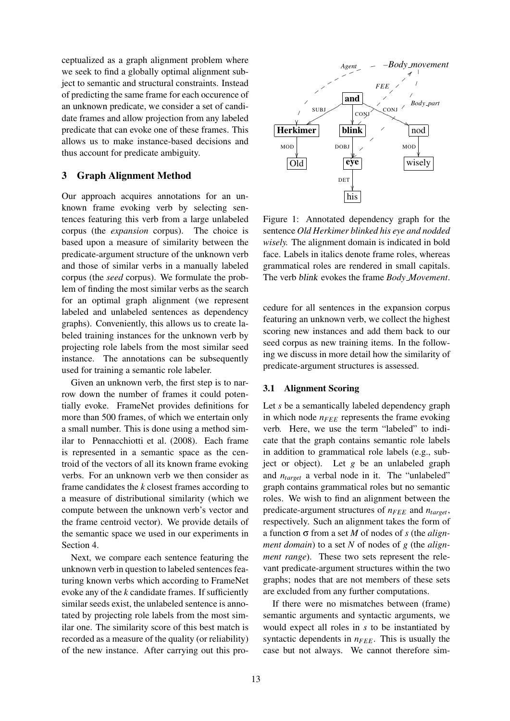ceptualized as a graph alignment problem where we seek to find a globally optimal alignment subject to semantic and structural constraints. Instead of predicting the same frame for each occurence of an unknown predicate, we consider a set of candidate frames and allow projection from any labeled predicate that can evoke one of these frames. This allows us to make instance-based decisions and thus account for predicate ambiguity.

# 3 Graph Alignment Method

Our approach acquires annotations for an unknown frame evoking verb by selecting sentences featuring this verb from a large unlabeled corpus (the *expansion* corpus). The choice is based upon a measure of similarity between the predicate-argument structure of the unknown verb and those of similar verbs in a manually labeled corpus (the *seed* corpus). We formulate the problem of finding the most similar verbs as the search for an optimal graph alignment (we represent labeled and unlabeled sentences as dependency graphs). Conveniently, this allows us to create labeled training instances for the unknown verb by projecting role labels from the most similar seed instance. The annotations can be subsequently used for training a semantic role labeler.

Given an unknown verb, the first step is to narrow down the number of frames it could potentially evoke. FrameNet provides definitions for more than 500 frames, of which we entertain only a small number. This is done using a method similar to Pennacchiotti et al. (2008). Each frame is represented in a semantic space as the centroid of the vectors of all its known frame evoking verbs. For an unknown verb we then consider as frame candidates the *k* closest frames according to a measure of distributional similarity (which we compute between the unknown verb's vector and the frame centroid vector). We provide details of the semantic space we used in our experiments in Section 4.

Next, we compare each sentence featuring the unknown verb in question to labeled sentences featuring known verbs which according to FrameNet evoke any of the *k* candidate frames. If sufficiently similar seeds exist, the unlabeled sentence is annotated by projecting role labels from the most similar one. The similarity score of this best match is recorded as a measure of the quality (or reliability) of the new instance. After carrying out this pro-



Figure 1: Annotated dependency graph for the sentence *Old Herkimer blinked his eye and nodded wisely.* The alignment domain is indicated in bold face. Labels in italics denote frame roles, whereas grammatical roles are rendered in small capitals. The verb blink evokes the frame *Body Movement*.

cedure for all sentences in the expansion corpus featuring an unknown verb, we collect the highest scoring new instances and add them back to our seed corpus as new training items. In the following we discuss in more detail how the similarity of predicate-argument structures is assessed.

#### 3.1 Alignment Scoring

Let *s* be a semantically labeled dependency graph in which node  $n_{FEF}$  represents the frame evoking verb. Here, we use the term "labeled" to indicate that the graph contains semantic role labels in addition to grammatical role labels (e.g., subject or object). Let *g* be an unlabeled graph and *ntarget* a verbal node in it. The "unlabeled" graph contains grammatical roles but no semantic roles. We wish to find an alignment between the predicate-argument structures of *nFEE* and *ntarget*, respectively. Such an alignment takes the form of a function σ from a set *M* of nodes of *s* (the *alignment domain*) to a set *N* of nodes of *g* (the *alignment range*). These two sets represent the relevant predicate-argument structures within the two graphs; nodes that are not members of these sets are excluded from any further computations.

If there were no mismatches between (frame) semantic arguments and syntactic arguments, we would expect all roles in *s* to be instantiated by syntactic dependents in  $n_{FEE}$ . This is usually the case but not always. We cannot therefore sim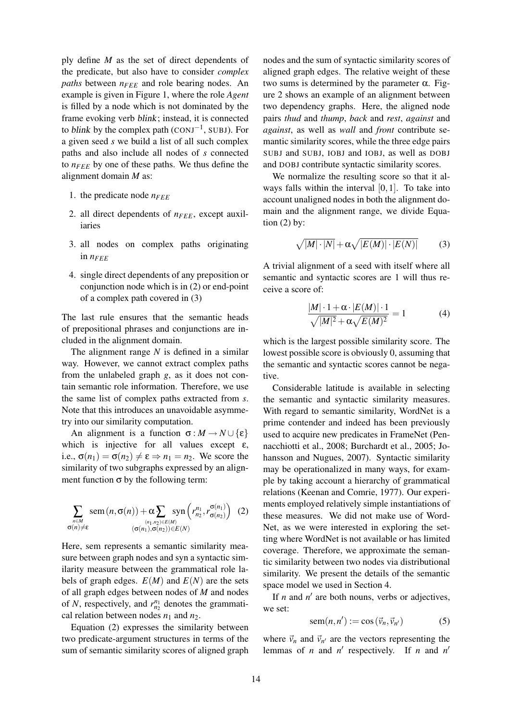ply define *M* as the set of direct dependents of the predicate, but also have to consider *complex paths* between  $n_{FEE}$  and role bearing nodes. An example is given in Figure 1, where the role *Agent* is filled by a node which is not dominated by the frame evoking verb blink; instead, it is connected to *blink* by the complex path  $(CONJ^{-1}, SUBJ)$ . For a given seed *s* we build a list of all such complex paths and also include all nodes of *s* connected to *nFEE* by one of these paths. We thus define the alignment domain *M* as:

- 1. the predicate node *nFEE*
- 2. all direct dependents of  $n_{FEE}$ , except auxiliaries
- 3. all nodes on complex paths originating in  $n_{FEE}$
- 4. single direct dependents of any preposition or conjunction node which is in (2) or end-point of a complex path covered in (3)

The last rule ensures that the semantic heads of prepositional phrases and conjunctions are included in the alignment domain.

The alignment range *N* is defined in a similar way. However, we cannot extract complex paths from the unlabeled graph *g*, as it does not contain semantic role information. Therefore, we use the same list of complex paths extracted from *s*. Note that this introduces an unavoidable asymmetry into our similarity computation.

An alignment is a function  $\sigma : M \to N \cup \{\varepsilon\}$ which is injective for all values except  $\varepsilon$ , i.e.,  $\sigma(n_1) = \sigma(n_2) \neq \varepsilon \Rightarrow n_1 = n_2$ . We score the similarity of two subgraphs expressed by an alignment function  $\sigma$  by the following term:

$$
\sum_{\substack{n \in M \\ \sigma(n) \neq \epsilon}} \text{sem}(n, \sigma(n)) + \alpha \sum_{\substack{(n_1, n_2) \in E(M) \\ (\sigma(n_1), \sigma(n_2)) \in E(N)}} \text{syn}\left(r_{n_2}^{n_1}, r_{\sigma(n_2)}^{\sigma(n_1)}\right) (2)
$$

Here, sem represents a semantic similarity measure between graph nodes and syn a syntactic similarity measure between the grammatical role labels of graph edges.  $E(M)$  and  $E(N)$  are the sets of all graph edges between nodes of *M* and nodes of *N*, respectively, and  $r_{n_2}^{n_1}$  denotes the grammatical relation between nodes  $n_1$  and  $n_2$ .

Equation (2) expresses the similarity between two predicate-argument structures in terms of the sum of semantic similarity scores of aligned graph

nodes and the sum of syntactic similarity scores of aligned graph edges. The relative weight of these two sums is determined by the parameter α. Figure 2 shows an example of an alignment between two dependency graphs. Here, the aligned node pairs *thud* and *thump*, *back* and *rest*, *against* and *against*, as well as *wall* and *front* contribute semantic similarity scores, while the three edge pairs SUBJ and SUBJ, IOBJ and IOBJ, as well as DOBJ and DOBJ contribute syntactic similarity scores.

We normalize the resulting score so that it always falls within the interval  $[0,1]$ . To take into account unaligned nodes in both the alignment domain and the alignment range, we divide Equation  $(2)$  by:

$$
\sqrt{|M| \cdot |N|} + \alpha \sqrt{|E(M)| \cdot |E(N)|} \tag{3}
$$

A trivial alignment of a seed with itself where all semantic and syntactic scores are 1 will thus receive a score of:

$$
\frac{|M| \cdot 1 + \alpha \cdot |E(M)| \cdot 1}{\sqrt{|M|^2} + \alpha \sqrt{E(M)^2}} = 1
$$
 (4)

which is the largest possible similarity score. The lowest possible score is obviously 0, assuming that the semantic and syntactic scores cannot be negative.

Considerable latitude is available in selecting the semantic and syntactic similarity measures. With regard to semantic similarity, WordNet is a prime contender and indeed has been previously used to acquire new predicates in FrameNet (Pennacchiotti et al., 2008; Burchardt et al., 2005; Johansson and Nugues, 2007). Syntactic similarity may be operationalized in many ways, for example by taking account a hierarchy of grammatical relations (Keenan and Comrie, 1977). Our experiments employed relatively simple instantiations of these measures. We did not make use of Word-Net, as we were interested in exploring the setting where WordNet is not available or has limited coverage. Therefore, we approximate the semantic similarity between two nodes via distributional similarity. We present the details of the semantic space model we used in Section 4.

If  $n$  and  $n'$  are both nouns, verbs or adjectives, we set:

$$
sem(n, n') := cos(\vec{v}_n, \vec{v}_{n'})
$$
 (5)

where  $\vec{v}_n$  and  $\vec{v}_{n'}$  are the vectors representing the lemmas of *n* and  $n'$  respectively. If *n* and  $n'$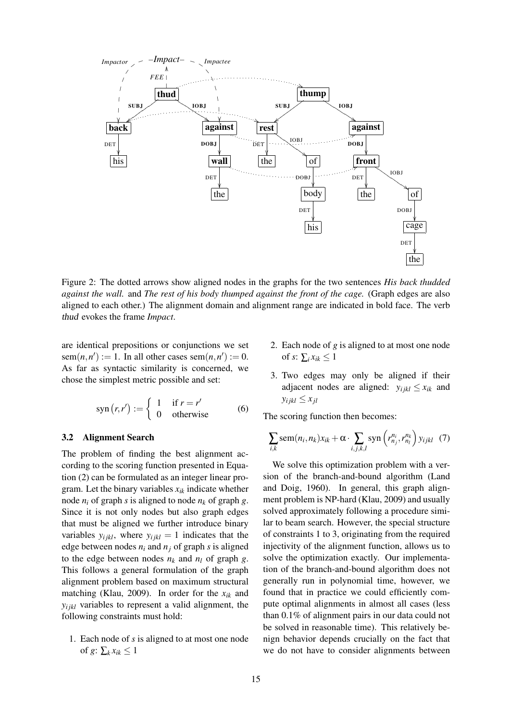

Figure 2: The dotted arrows show aligned nodes in the graphs for the two sentences *His back thudded against the wall.* and *The rest of his body thumped against the front of the cage.* (Graph edges are also aligned to each other.) The alignment domain and alignment range are indicated in bold face. The verb thud evokes the frame *Impact*.

are identical prepositions or conjunctions we set  $sem(n, n') := 1$ . In all other cases sem $(n, n') := 0$ . As far as syntactic similarity is concerned, we chose the simplest metric possible and set:

$$
syn(r,r') := \begin{cases} 1 & \text{if } r = r' \\ 0 & \text{otherwise} \end{cases}
$$
 (6)

#### 3.2 Alignment Search

The problem of finding the best alignment according to the scoring function presented in Equation (2) can be formulated as an integer linear program. Let the binary variables  $x_{ik}$  indicate whether node  $n_i$  of graph *s* is aligned to node  $n_k$  of graph *g*. Since it is not only nodes but also graph edges that must be aligned we further introduce binary variables  $y_{ijkl}$ , where  $y_{ijkl} = 1$  indicates that the edge between nodes  $n_i$  and  $n_j$  of graph *s* is aligned to the edge between nodes  $n_k$  and  $n_l$  of graph g. This follows a general formulation of the graph alignment problem based on maximum structural matching (Klau, 2009). In order for the *xik* and *yi*<sub>ikl</sub> variables to represent a valid alignment, the following constraints must hold:

1. Each node of *s* is aligned to at most one node of *g*:  $\sum_k x_{ik} \leq 1$ 

- 2. Each node of *g* is aligned to at most one node of *s*:  $\sum_i x_{ik} \leq 1$
- 3. Two edges may only be aligned if their adjacent nodes are aligned:  $y_{ijkl} \leq x_{ik}$  and  $y_{ijkl} \leq x_{jl}$

The scoring function then becomes:

$$
\sum_{i,k} \operatorname{sem}(n_i, n_k) x_{ik} + \alpha \cdot \sum_{i,j,k,l} \operatorname{syn}\left(r_{n_j}^{n_i}, r_{n_l}^{n_k}\right) y_{ijkl} \tag{7}
$$

We solve this optimization problem with a version of the branch-and-bound algorithm (Land and Doig, 1960). In general, this graph alignment problem is NP-hard (Klau, 2009) and usually solved approximately following a procedure similar to beam search. However, the special structure of constraints 1 to 3, originating from the required injectivity of the alignment function, allows us to solve the optimization exactly. Our implementation of the branch-and-bound algorithm does not generally run in polynomial time, however, we found that in practice we could efficiently compute optimal alignments in almost all cases (less than 0.1% of alignment pairs in our data could not be solved in reasonable time). This relatively benign behavior depends crucially on the fact that we do not have to consider alignments between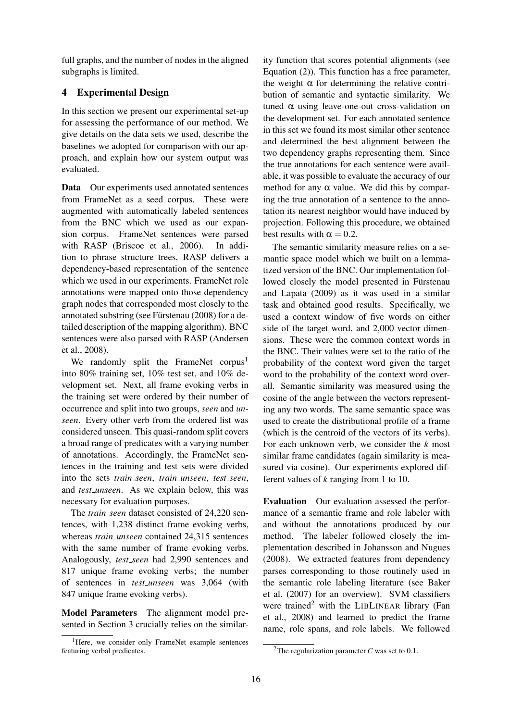full graphs, and the number of nodes in the aligned subgraphs is limited.

# 4 Experimental Design

In this section we present our experimental set-up for assessing the performance of our method. We give details on the data sets we used, describe the baselines we adopted for comparison with our approach, and explain how our system output was evaluated.

Data Our experiments used annotated sentences from FrameNet as a seed corpus. These were augmented with automatically labeled sentences from the BNC which we used as our expansion corpus. FrameNet sentences were parsed with RASP (Briscoe et al., 2006). In addition to phrase structure trees, RASP delivers a dependency-based representation of the sentence which we used in our experiments. FrameNet role annotations were mapped onto those dependency graph nodes that corresponded most closely to the annotated substring (see Fürstenau  $(2008)$  for a detailed description of the mapping algorithm). BNC sentences were also parsed with RASP (Andersen et al., 2008).

We randomly split the FrameNet corpus<sup>1</sup> into 80% training set, 10% test set, and 10% development set. Next, all frame evoking verbs in the training set were ordered by their number of occurrence and split into two groups, *seen* and *unseen*. Every other verb from the ordered list was considered unseen. This quasi-random split covers a broad range of predicates with a varying number of annotations. Accordingly, the FrameNet sentences in the training and test sets were divided into the sets *train seen*, *train unseen*, *test seen*, and *test unseen*. As we explain below, this was necessary for evaluation purposes.

The *train seen* dataset consisted of 24,220 sentences, with 1,238 distinct frame evoking verbs, whereas *train unseen* contained 24,315 sentences with the same number of frame evoking verbs. Analogously, *test seen* had 2,990 sentences and 817 unique frame evoking verbs; the number of sentences in *test unseen* was 3,064 (with 847 unique frame evoking verbs).

Model Parameters The alignment model presented in Section 3 crucially relies on the similar-

ity function that scores potential alignments (see Equation (2)). This function has a free parameter, the weight  $\alpha$  for determining the relative contribution of semantic and syntactic similarity. We tuned  $α$  using leave-one-out cross-validation on the development set. For each annotated sentence in this set we found its most similar other sentence and determined the best alignment between the two dependency graphs representing them. Since the true annotations for each sentence were available, it was possible to evaluate the accuracy of our method for any  $\alpha$  value. We did this by comparing the true annotation of a sentence to the annotation its nearest neighbor would have induced by projection. Following this procedure, we obtained best results with  $\alpha = 0.2$ .

The semantic similarity measure relies on a semantic space model which we built on a lemmatized version of the BNC. Our implementation followed closely the model presented in Fürstenau and Lapata (2009) as it was used in a similar task and obtained good results. Specifically, we used a context window of five words on either side of the target word, and 2,000 vector dimensions. These were the common context words in the BNC. Their values were set to the ratio of the probability of the context word given the target word to the probability of the context word overall. Semantic similarity was measured using the cosine of the angle between the vectors representing any two words. The same semantic space was used to create the distributional profile of a frame (which is the centroid of the vectors of its verbs). For each unknown verb, we consider the *k* most similar frame candidates (again similarity is measured via cosine). Our experiments explored different values of *k* ranging from 1 to 10.

Evaluation Our evaluation assessed the performance of a semantic frame and role labeler with and without the annotations produced by our method. The labeler followed closely the implementation described in Johansson and Nugues (2008). We extracted features from dependency parses corresponding to those routinely used in the semantic role labeling literature (see Baker et al. (2007) for an overview). SVM classifiers were trained<sup>2</sup> with the LIBLINEAR library (Fan et al., 2008) and learned to predict the frame name, role spans, and role labels. We followed

<sup>&</sup>lt;sup>1</sup>Here, we consider only FrameNet example sentences featuring verbal predicates.

<sup>&</sup>lt;sup>2</sup>The regularization parameter  $C$  was set to 0.1.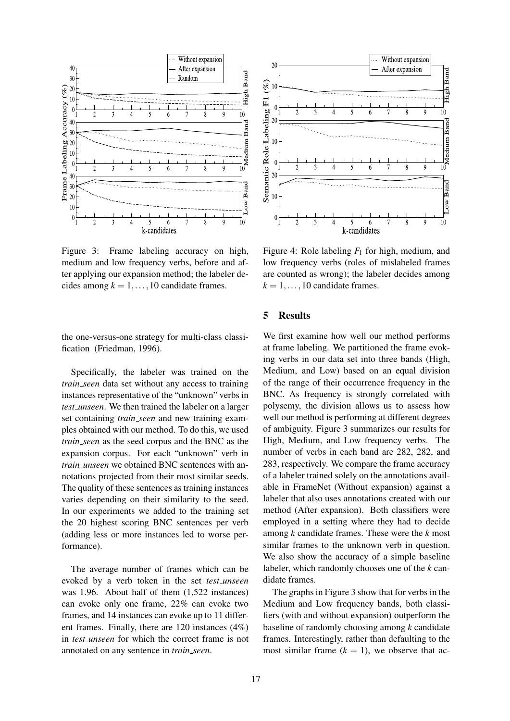

Figure 3: Frame labeling accuracy on high, medium and low frequency verbs, before and after applying our expansion method; the labeler decides among  $k = 1, \ldots, 10$  candidate frames.

the one-versus-one strategy for multi-class classification (Friedman, 1996).

Specifically, the labeler was trained on the *train seen* data set without any access to training instances representative of the "unknown" verbs in *test unseen*. We then trained the labeler on a larger set containing *train seen* and new training examples obtained with our method. To do this, we used *train seen* as the seed corpus and the BNC as the expansion corpus. For each "unknown" verb in *train unseen* we obtained BNC sentences with annotations projected from their most similar seeds. The quality of these sentences as training instances varies depending on their similarity to the seed. In our experiments we added to the training set the 20 highest scoring BNC sentences per verb (adding less or more instances led to worse performance).

The average number of frames which can be evoked by a verb token in the set *test unseen* was 1.96. About half of them (1,522 instances) can evoke only one frame, 22% can evoke two frames, and 14 instances can evoke up to 11 different frames. Finally, there are 120 instances (4%) in *test unseen* for which the correct frame is not annotated on any sentence in *train seen*.



Figure 4: Role labeling *F*<sup>1</sup> for high, medium, and low frequency verbs (roles of mislabeled frames are counted as wrong); the labeler decides among  $k = 1, \ldots, 10$  candidate frames.

## 5 Results

We first examine how well our method performs at frame labeling. We partitioned the frame evoking verbs in our data set into three bands (High, Medium, and Low) based on an equal division of the range of their occurrence frequency in the BNC. As frequency is strongly correlated with polysemy, the division allows us to assess how well our method is performing at different degrees of ambiguity. Figure 3 summarizes our results for High, Medium, and Low frequency verbs. The number of verbs in each band are 282, 282, and 283, respectively. We compare the frame accuracy of a labeler trained solely on the annotations available in FrameNet (Without expansion) against a labeler that also uses annotations created with our method (After expansion). Both classifiers were employed in a setting where they had to decide among *k* candidate frames. These were the *k* most similar frames to the unknown verb in question. We also show the accuracy of a simple baseline labeler, which randomly chooses one of the *k* candidate frames.

The graphs in Figure 3 show that for verbs in the Medium and Low frequency bands, both classifiers (with and without expansion) outperform the baseline of randomly choosing among *k* candidate frames. Interestingly, rather than defaulting to the most similar frame  $(k = 1)$ , we observe that ac-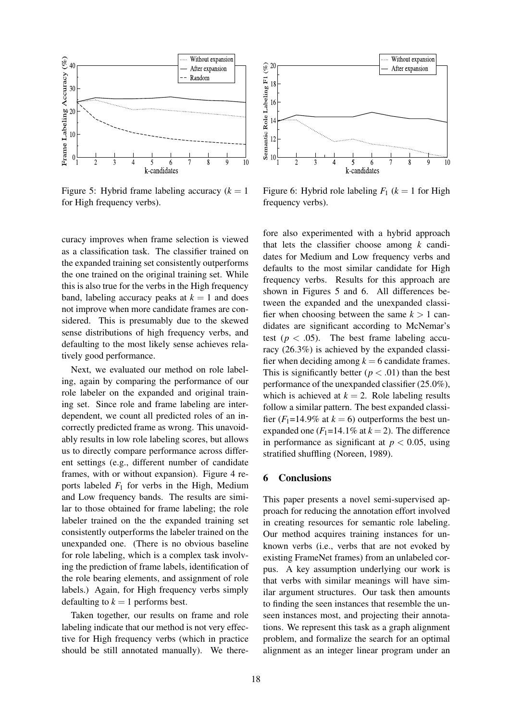

Figure 5: Hybrid frame labeling accuracy  $(k = 1)$ for High frequency verbs).

curacy improves when frame selection is viewed as a classification task. The classifier trained on the expanded training set consistently outperforms the one trained on the original training set. While this is also true for the verbs in the High frequency band, labeling accuracy peaks at  $k = 1$  and does not improve when more candidate frames are considered. This is presumably due to the skewed sense distributions of high frequency verbs, and defaulting to the most likely sense achieves relatively good performance.

Next, we evaluated our method on role labeling, again by comparing the performance of our role labeler on the expanded and original training set. Since role and frame labeling are interdependent, we count all predicted roles of an incorrectly predicted frame as wrong. This unavoidably results in low role labeling scores, but allows us to directly compare performance across different settings (e.g., different number of candidate frames, with or without expansion). Figure 4 reports labeled  $F_1$  for verbs in the High, Medium and Low frequency bands. The results are similar to those obtained for frame labeling; the role labeler trained on the the expanded training set consistently outperforms the labeler trained on the unexpanded one. (There is no obvious baseline for role labeling, which is a complex task involving the prediction of frame labels, identification of the role bearing elements, and assignment of role labels.) Again, for High frequency verbs simply defaulting to  $k = 1$  performs best.

Taken together, our results on frame and role labeling indicate that our method is not very effective for High frequency verbs (which in practice should be still annotated manually). We there-



Figure 6: Hybrid role labeling  $F_1$  ( $k = 1$  for High frequency verbs).

fore also experimented with a hybrid approach that lets the classifier choose among *k* candidates for Medium and Low frequency verbs and defaults to the most similar candidate for High frequency verbs. Results for this approach are shown in Figures 5 and 6. All differences between the expanded and the unexpanded classifier when choosing between the same  $k > 1$  candidates are significant according to McNemar's test ( $p < .05$ ). The best frame labeling accuracy (26.3%) is achieved by the expanded classifier when deciding among  $k = 6$  candidate frames. This is significantly better  $(p < .01)$  than the best performance of the unexpanded classifier (25.0%), which is achieved at  $k = 2$ . Role labeling results follow a similar pattern. The best expanded classifier  $(F_1=14.9\%$  at  $k=6$ ) outperforms the best unexpanded one  $(F_1=14.1\%$  at  $k=2)$ . The difference in performance as significant at  $p < 0.05$ , using stratified shuffling (Noreen, 1989).

## 6 Conclusions

This paper presents a novel semi-supervised approach for reducing the annotation effort involved in creating resources for semantic role labeling. Our method acquires training instances for unknown verbs (i.e., verbs that are not evoked by existing FrameNet frames) from an unlabeled corpus. A key assumption underlying our work is that verbs with similar meanings will have similar argument structures. Our task then amounts to finding the seen instances that resemble the unseen instances most, and projecting their annotations. We represent this task as a graph alignment problem, and formalize the search for an optimal alignment as an integer linear program under an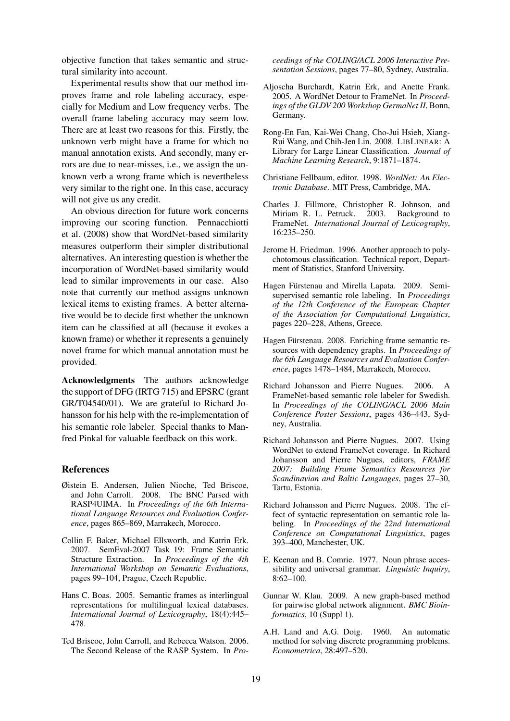objective function that takes semantic and structural similarity into account.

Experimental results show that our method improves frame and role labeling accuracy, especially for Medium and Low frequency verbs. The overall frame labeling accuracy may seem low. There are at least two reasons for this. Firstly, the unknown verb might have a frame for which no manual annotation exists. And secondly, many errors are due to near-misses, i.e., we assign the unknown verb a wrong frame which is nevertheless very similar to the right one. In this case, accuracy will not give us any credit.

An obvious direction for future work concerns improving our scoring function. Pennacchiotti et al. (2008) show that WordNet-based similarity measures outperform their simpler distributional alternatives. An interesting question is whether the incorporation of WordNet-based similarity would lead to similar improvements in our case. Also note that currently our method assigns unknown lexical items to existing frames. A better alternative would be to decide first whether the unknown item can be classified at all (because it evokes a known frame) or whether it represents a genuinely novel frame for which manual annotation must be provided.

Acknowledgments The authors acknowledge the support of DFG (IRTG 715) and EPSRC (grant GR/T04540/01). We are grateful to Richard Johansson for his help with the re-implementation of his semantic role labeler. Special thanks to Manfred Pinkal for valuable feedback on this work.

#### References

- Øistein E. Andersen, Julien Nioche, Ted Briscoe, and John Carroll. 2008. The BNC Parsed with RASP4UIMA. In *Proceedings of the 6th International Language Resources and Evaluation Conference*, pages 865–869, Marrakech, Morocco.
- Collin F. Baker, Michael Ellsworth, and Katrin Erk. 2007. SemEval-2007 Task 19: Frame Semantic Structure Extraction. In *Proceedings of the 4th International Workshop on Semantic Evaluations*, pages 99–104, Prague, Czech Republic.
- Hans C. Boas. 2005. Semantic frames as interlingual representations for multilingual lexical databases. *International Journal of Lexicography*, 18(4):445– 478.
- Ted Briscoe, John Carroll, and Rebecca Watson. 2006. The Second Release of the RASP System. In *Pro-*

*ceedings of the COLING/ACL 2006 Interactive Presentation Sessions*, pages 77–80, Sydney, Australia.

- Aljoscha Burchardt, Katrin Erk, and Anette Frank. 2005. A WordNet Detour to FrameNet. In *Proceedings of the GLDV 200 Workshop GermaNet II*, Bonn, Germany.
- Rong-En Fan, Kai-Wei Chang, Cho-Jui Hsieh, Xiang-Rui Wang, and Chih-Jen Lin. 2008. LIBLINEAR: A Library for Large Linear Classification. *Journal of Machine Learning Research*, 9:1871–1874.
- Christiane Fellbaum, editor. 1998. *WordNet: An Electronic Database*. MIT Press, Cambridge, MA.
- Charles J. Fillmore, Christopher R. Johnson, and Miriam R. L. Petruck. 2003. Background to FrameNet. *International Journal of Lexicography*, 16:235–250.
- Jerome H. Friedman. 1996. Another approach to polychotomous classification. Technical report, Department of Statistics, Stanford University.
- Hagen Fürstenau and Mirella Lapata. 2009. Semisupervised semantic role labeling. In *Proceedings of the 12th Conference of the European Chapter of the Association for Computational Linguistics*, pages 220–228, Athens, Greece.
- Hagen Fürstenau. 2008. Enriching frame semantic resources with dependency graphs. In *Proceedings of the 6th Language Resources and Evaluation Conference*, pages 1478–1484, Marrakech, Morocco.
- Richard Johansson and Pierre Nugues. 2006. A FrameNet-based semantic role labeler for Swedish. In *Proceedings of the COLING/ACL 2006 Main Conference Poster Sessions*, pages 436–443, Sydney, Australia.
- Richard Johansson and Pierre Nugues. 2007. Using WordNet to extend FrameNet coverage. In Richard Johansson and Pierre Nugues, editors, *FRAME 2007: Building Frame Semantics Resources for Scandinavian and Baltic Languages*, pages 27–30, Tartu, Estonia.
- Richard Johansson and Pierre Nugues. 2008. The effect of syntactic representation on semantic role labeling. In *Proceedings of the 22nd International Conference on Computational Linguistics*, pages 393–400, Manchester, UK.
- E. Keenan and B. Comrie. 1977. Noun phrase accessibility and universal grammar. *Linguistic Inquiry*, 8:62–100.
- Gunnar W. Klau. 2009. A new graph-based method for pairwise global network alignment. *BMC Bioinformatics*, 10 (Suppl 1).
- A.H. Land and A.G. Doig. 1960. An automatic method for solving discrete programming problems. *Econometrica*, 28:497–520.